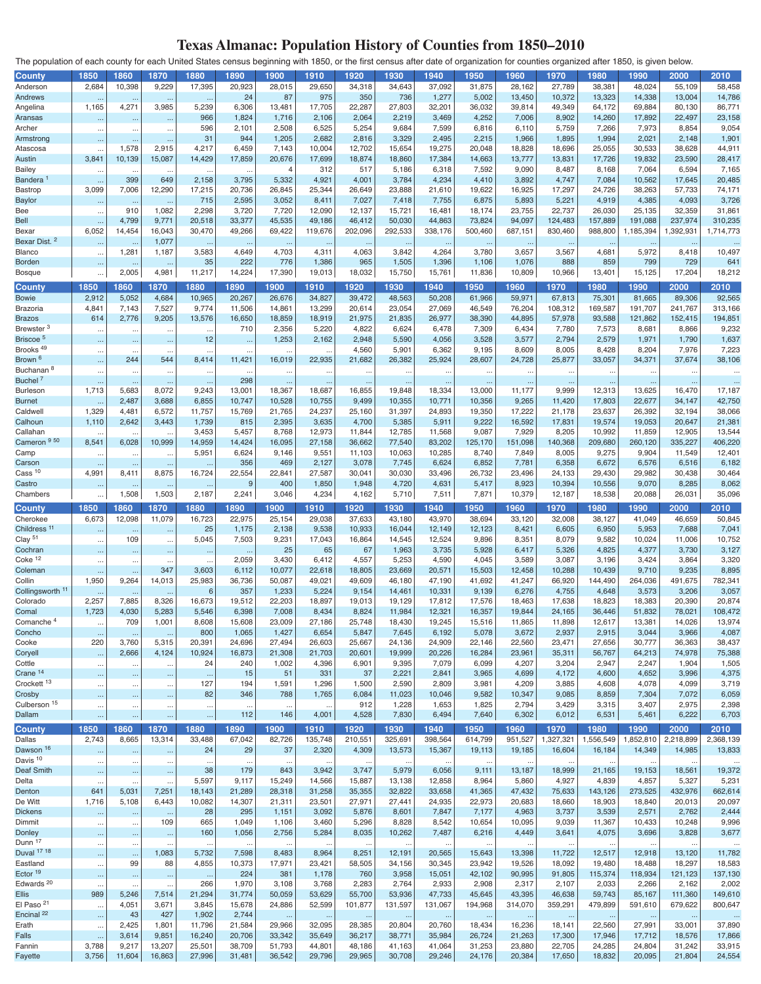## **Texas Almanac: Population History of Counties from 1850–2010**

The population of each county for each United States census beginning with 1850, or the first census after date of organization for counties organized after 1850, is given below.

| County                      | 1850                 | 1860                 | 1870      | 1880            | 1890      | 1900           | 1910                 | 1920      | 1930      | 1940      | 1950      | 1960      | 1970      | 1980      | 1990      | 2000      | 2010      |
|-----------------------------|----------------------|----------------------|-----------|-----------------|-----------|----------------|----------------------|-----------|-----------|-----------|-----------|-----------|-----------|-----------|-----------|-----------|-----------|
| Anderson                    | 2,684                | 10,398               | 9,229     |                 | 20,923    |                |                      |           |           | 37,092    | 31,875    |           | 27,789    |           |           |           |           |
|                             |                      |                      |           | 17,395          |           | 28,015         | 29,650               | 34,318    | 34,643    |           |           | 28,162    |           | 38,381    | 48,024    | 55,109    | 58,458    |
| Andrews                     |                      | $\ldots$             | $\sim$    |                 | 24        | 87             | 975                  | 350       | 736       | 1,277     | 5,002     | 13,450    | 10,372    | 13,323    | 14,338    | 13,004    | 14,786    |
| Angelina                    | 1,165                | 4,271                | 3,985     | 5,239           | 6,306     | 13,481         | 17,705               | 22,287    | 27,803    | 32,201    | 36,032    | 39,814    | 49,349    | 64,172    | 69,884    | 80,130    | 86,771    |
| Aransas                     | $\ddotsc$            | $\ddotsc$            | $\ddotsc$ | 966             | 1,824     | 1,716          | 2,106                | 2,064     | 2,219     | 3,469     | 4,252     | 7,006     | 8,902     | 14,260    | 17,892    | 22,497    | 23,158    |
| Archer                      | $\ldots$             | $\cdots$             | $\cdots$  | 596             | 2,101     | 2,508          | 6,525                | 5,254     | 9,684     | 7,599     | 6,816     | 6,110     | 5,759     | 7,266     | 7,973     | 8,854     | 9,054     |
| Armstrong                   | $\cdots$             |                      | $\ddotsc$ | 31              | 944       | 1,205          | 2,682                | 2,816     | 3,329     | 2,495     | 2,215     | 1,966     | 1,895     | 1,994     | 2,021     | 2,148     | 1,901     |
|                             |                      | $\cdots$<br>1,578    | 2,915     | 4,217           | 6,459     |                | 10,004               |           | 15,654    |           | 20,048    |           |           |           | 30,533    |           | 44,911    |
| Atascosa                    |                      |                      |           |                 |           | 7,143          |                      | 12,702    |           | 19,275    |           | 18,828    | 18,696    | 25,055    |           | 38,628    |           |
| Austin                      | 3,841                | 10,139               | 15,087    | 14,429          | 17,859    | 20,676         | 17,699               | 18,874    | 18,860    | 17,384    | 14,663    | 13,777    | 13,831    | 17,726    | 19,832    | 23,590    | 28,417    |
| <b>Bailey</b>               | $\ddot{\phantom{0}}$ | $\ldots$             |           | $\ddotsc$       | $\ddotsc$ | $\overline{4}$ | 312                  | 517       | 5,186     | 6,318     | 7,592     | 9,090     | 8,487     | 8,168     | 7,064     | 6,594     | 7,165     |
| <b>Bandera</b>              | $\ddotsc$            | 399                  | 649       | 2,158           | 3,795     | 5,332          | 4,921                | 4,001     | 3,784     | 4,234     | 4,410     | 3,892     | 4,747     | 7,084     | 10,562    | 17,645    | 20,485    |
| Bastrop                     | 3,099                | 7,006                | 12,290    | 17,215          | 20,736    | 26,845         | 25,344               | 26,649    | 23,888    | 21,610    | 19,622    | 16,925    | 17,297    | 24,726    | 38,263    | 57,733    | 74,171    |
| <b>Baylor</b>               |                      |                      |           | 715             | 2,595     | 3,052          | 8,411                | 7,027     | 7,418     | 7,755     | 6,875     | 5,893     | 5,221     | 4,919     | 4,385     | 4,093     | 3,726     |
|                             | $\ddotsc$            | $\ldots$             |           |                 |           |                |                      |           |           |           |           |           |           |           |           |           |           |
| Bee                         | $\ldots$             | 910                  | 1,082     | 2,298           | 3,720     | 7,720          | 12,090               | 12,137    | 15,721    | 16,481    | 18,174    | 23,755    | 22,737    | 26,030    | 25,135    | 32,359    | 31,861    |
| <b>Bell</b>                 | $\ddot{\phantom{1}}$ | 4,799                | 9,771     | 20,518          | 33,377    | 45,535         | 49,186               | 46,412    | 50,030    | 44,863    | 73,824    | 94,097    | 124,483   | 157,889   | 191,088   | 237,974   | 310,235   |
| Bexar                       | 6,052                | 14,454               | 16,043    | 30,470          | 49,266    | 69,422         | 119,676              | 202,096   | 292,533   | 338,176   | 500,460   | 687,151   | 830,460   | 988,800   | 1,185,394 | 1,392,931 | 1,714,773 |
| Bexar Dist. <sup>2</sup>    |                      |                      | 1,077     |                 |           |                |                      | $\ldots$  |           |           |           |           |           |           |           |           |           |
| Blanco                      | $\ldots$             | 1,281                | 1,187     | 3,583           | 4,649     | 4,703          | 4,311                | 4,063     | 3,842     | 4,264     | 3,780     | 3,657     | 3,567     | 4,681     | 5,972     | 8,418     | 10,497    |
|                             |                      |                      |           | 35              | 222       | 776            |                      | 965       |           |           |           |           |           | 859       | 799       | 729       | 641       |
| Borden                      | $\ldots$             | $\ldots$             | $\ddotsc$ |                 |           |                | 1,386                |           | 1,505     | 1,396     | 1,106     | 1,076     | 888       |           |           |           |           |
| Bosque                      | $\ddot{\phantom{a}}$ | 2,005                | 4,981     | 11,217          | 14,224    | 17,390         | 19,013               | 18,032    | 15,750    | 15,761    | 11,836    | 10,809    | 10,966    | 13,401    | 15,125    | 17,204    | 18,212    |
| <b>County</b>               | 1850                 | 1860                 | 1870      | 1880            | 1890      | 1900           | 1910                 | 1920      | 1930      | 1940      | 1950      | 1960      | 1970      | 1980      | 1990      | 2000      | 2010      |
|                             |                      |                      |           |                 |           |                |                      |           |           |           |           |           |           |           |           |           |           |
| <b>Bowie</b>                | 2,912                | 5,052                | 4,684     | 10,965          | 20,267    | 26,676         | 34,827               | 39,472    | 48,563    | 50,208    | 61,966    | 59,971    | 67,813    | 75,301    | 81,665    | 89,306    | 92,565    |
| Brazoria                    | 4,84                 | 7,143                | 7,527     | 9,774           | 11,506    | 14,861         | 13,299               | 20,614    | 23,054    | 27,069    | 46,549    | 76,204    | 108,312   | 169,587   | 191,707   | 241,767   | 313,166   |
| <b>Brazos</b>               | 614                  | 2,776                | 9,205     | 13,576          | 16,650    | 18,859         | 18,919               | 21,975    | 21,835    | 26,977    | 38,390    | 44,895    | 57,978    | 93,588    | 121,862   | 152,415   | 194,851   |
| Brewster <sup>3</sup>       | $\ddot{\phantom{0}}$ | $\ddotsc$            | $\ldots$  | $\ddotsc$       | 710       | 2,356          | 5,220                | 4,822     | 6,624     | 6,478     | 7,309     | 6,434     | 7,780     | 7,573     | 8,681     | 8,866     | 9,232     |
| Briscoe <sup>5</sup>        |                      |                      |           | 12              |           | 1,253          | 2,162                | 2,948     | 5,590     | 4,056     | 3,528     | 3,577     | 2,794     | 2,579     | 1,971     | 1,790     | 1,637     |
|                             | $\cdots$             | $\cdots$             | $\cdots$  |                 | $\ldots$  |                |                      |           |           |           |           |           |           |           |           |           |           |
| Brooks <sup>49</sup>        | $\cdots$             | $\ddotsc$            |           |                 | $\ddotsc$ | $\ddotsc$      | $\ddot{\phantom{a}}$ | 4,560     | 5,901     | 6,362     | 9,195     | 8,609     | 8,005     | 8,428     | 8,204     | 7,976     | 7,223     |
| Brown <sup>6</sup>          | $\ddotsc$            | 244                  | 544       | 8,414           | 11,421    | 16,019         | 22,935               | 21,682    | 26,382    | 25,924    | 28,607    | 24,728    | 25,877    | 33,057    | 34,371    | 37,674    | 38,106    |
| Buchanan <sup>8</sup>       | $\ddot{\phantom{0}}$ | $\cdots$             | $\ddots$  | $\ddotsc$       | $\ddotsc$ | $\cdots$       | $\ddotsc$            | $\ddotsc$ | $\cdots$  | $\ddotsc$ | $\ddotsc$ | $\ddotsc$ | $\cdots$  | $\cdots$  | $\ddotsc$ | $\ddotsc$ | $\cdots$  |
| Buchel <sup>7</sup>         | $\ddotsc$            | $\ddotsc$            | $\ddotsc$ | $\ddotsc$       | 298       | $\cdots$       | $\cdots$             | $\cdots$  | $\ldots$  | $\ldots$  | $\ddotsc$ | $\ddotsc$ | $\ldots$  | $\ldots$  | $\ldots$  | $\cdots$  | $\cdots$  |
| Burleson                    | 1,713                | 5,683                | 8,072     | 9,243           | 13,001    | 18,367         | 18,687               | 16,855    | 19,848    | 18,334    | 13,000    | 11,177    | 9,999     | 12,313    | 13,625    | 16,470    | 17,187    |
|                             |                      |                      |           |                 |           |                |                      |           |           |           |           |           |           |           |           |           |           |
| <b>Burnet</b>               |                      | 2,487                | 3,688     | 6,855           | 10,747    | 10,528         | 10,755               | 9,499     | 10,355    | 10,771    | 10,356    | 9,265     | 11,420    | 17,803    | 22,677    | 34,147    | 42,750    |
| Caldwell                    | 1,329                | 4,481                | 6,572     | 11,757          | 15,769    | 21,765         | 24,237               | 25,160    | 31,397    | 24,893    | 19,350    | 17,222    | 21,178    | 23,637    | 26,392    | 32,194    | 38,066    |
| Calhoun                     | 1,110                | 2,642                | 3,443     | 1,739           | 815       | 2,395          | 3,635                | 4,700     | 5,385     | 5,911     | 9,222     | 16,592    | 17,831    | 19,574    | 19,053    | 20,647    | 21,381    |
| Callahan                    |                      | $\ddot{\phantom{0}}$ |           | 3,453           | 5,457     | 8,768          | 12,973               | 11,844    | 12,785    | 11,568    | 9,087     | 7,929     | 8,205     | 10,992    | 11,859    | 12,905    | 13,544    |
| Cameron <sup>950</sup>      | 8,541                | 6,028                | 10,999    | 14,959          | 14,424    | 16,095         | 27,158               | 36,662    | 77,540    | 83,202    | 125,170   | 151,098   | 140,368   | 209,680   | 260,120   | 335,227   | 406,220   |
|                             |                      |                      |           |                 |           |                |                      |           |           |           |           |           |           |           |           |           |           |
| Camp                        | $\ddotsc$            | $\cdots$             | $\ddotsc$ | 5,951           | 6,624     | 9,146          | 9,551                | 11,103    | 10,063    | 10,285    | 8,740     | 7,849     | 8,005     | 9,275     | 9,904     | 11,549    | 12,401    |
| Carson                      | $\ddot{\phantom{1}}$ | $\cdots$             | $\ddotsc$ | $\cdot$         | 356       | 469            | 2,127                | 3,078     | 7,745     | 6,624     | 6,852     | 7,781     | 6,358     | 6,672     | 6,576     | 6,516     | 6,182     |
| $\text{Cass}$ <sup>10</sup> | 4,991                | 8,411                | 8,875     | 16,724          | 22,554    | 22,841         | 27,587               | 30,041    | 30,030    | 33,496    | 26,732    | 23,496    | 24,133    | 29,430    | 29,982    | 30,438    | 30,464    |
| Castro                      |                      | $\ldots$             | $\ddotsc$ |                 | 9         | 400            | 1,850                | 1,948     | 4,720     | 4,631     | 5,417     | 8,923     | 10,394    | 10,556    | 9,070     | 8,285     | 8,062     |
| Chambers                    |                      | 1,508                | 1,503     | 2,187           | 2,241     | 3,046          | 4,234                | 4,162     | 5,710     | 7,511     | 7,871     | 10,379    | 12,187    | 18,538    | 20,088    | 26,031    | 35,096    |
|                             | $\ddotsc$            |                      |           |                 |           |                |                      |           |           |           |           |           |           |           |           |           |           |
| <b>County</b>               | 1850                 | 1860                 | 1870      | 1880            | 1890      | 1900           | 1910                 | 1920      | 1930      | 1940      | 1950      | 1960      | 1970      | 1980      | 1990      | 2000      | 2010      |
| Cherokee                    | 6,673                | 12,098               | 11,079    | 16,723          | 22,975    | 25,154         | 29,038               | 37,633    | 43,180    | 43,970    | 38,694    | 33,120    | 32,008    | 38,127    | 41,049    | 46,659    | 50,845    |
| Childress <sup>11</sup>     |                      |                      |           | 25              | 1,175     | 2,138          | 9,538                | 10,933    | 16,044    | 12,149    | 12,123    | 8,421     | 6,605     | 6,950     | 5,953     | 7,688     | 7,041     |
|                             | $\ddotsc$            | $\ldots$             | $\ddotsc$ |                 |           |                |                      |           |           |           |           |           |           |           |           |           |           |
| Clay <sup>51</sup>          | $\ldots$             | 109                  | $\cdots$  | 5,045           | 7,503     | 9,231          | 17,043               | 16,864    | 14,545    | 12,524    | 9,896     | 8,351     | 8,079     | 9,582     | 10,024    | 11,006    | 10,752    |
| Cochran                     | $\ldots$             | $\cdots$             | $\cdots$  |                 | $\ldots$  | 25             | 65                   | 67        | 1,963     | 3,735     | 5,928     | 6,417     | 5,326     | 4,825     | 4,377     | 3,730     | 3,127     |
| Coke <sup>12</sup>          | $\ddot{\phantom{0}}$ | $\cdots$             | $\cdots$  |                 | 2,059     | 3,430          | 6,412                | 4,557     | 5,253     | 4,590     | 4,045     | 3,589     | 3,087     | 3,196     | 3,424     | 3,864     | 3,320     |
| Coleman                     | ٠.                   | $\cdots$             | 347       | 3,603           | 6,112     | 10,077         | 22,618               | 18,805    | 23,669    | 20,571    | 15,503    | 12,458    | 10,288    | 10,439    | 9,710     | 9,235     | 8,895     |
| Collin                      | 1,950                | 9,264                | 14,013    | 25,983          | 36,736    | 50,087         | 49,021               | 49,609    | 46,180    | 47,190    | 41,692    | 41,247    | 66,920    | 144,490   | 264,036   | 491,675   | 782,341   |
|                             |                      |                      |           |                 |           |                |                      |           |           |           |           |           |           |           |           |           |           |
| Collingsworth <sup>11</sup> |                      | $\ldots$             | $\sim$    | $6\phantom{1}6$ | 357       | 1,233          | 5,224                | 9,154     | 14,461    | 10,331    | 9,139     | 6,276     | 4,755     | 4,648     | 3,573     | 3,206     | 3,057     |
| Colorado                    | 2,257                | 7,885                | 8,326     | 16,673          | 19,512    | 22,203         | 18,897               | 19,013    | 19,129    | 17,812    | 17,576    | 18,463    | 17,638    | 18,823    | 18,383    | 20,390    | 20,874    |
| Comal                       | 1,723                | 4,030                | 5,283     | 5,546           | 6,398     | 7,008          | 8,434                | 8,824     | 11,984    | 12,321    | 16,357    | 19,844    | 24,165    | 36,446    | 51,832    | 78,021    | 108,472   |
| Comanche <sup>4</sup>       |                      | 709                  | 1,001     | 8,608           | 15,608    | 23,009         | 27,186               | 25,748    | 18,430    | 19,245    | 15,516    | 11,865    | 11,898    | 12,617    | 13,381    | 14,026    | 13,974    |
| Concho                      | $\cdots$             | $\ddotsc$            | $\ddotsc$ | 800             | 1,065     | 1,427          | 6,654                | 5,847     | 7,645     | 6,192     | 5,078     | 3,672     | 2,937     | 2,915     | 3,044     | 3,966     | 4,087     |
|                             |                      |                      |           |                 |           |                |                      |           |           |           |           |           |           |           |           |           |           |
| Cooke                       | 220                  | 3,760                | 5,315     | 20,391          | 24,696    | 27,494         | 26,603               | 25,667    | 24,136    | 24,909    | 22,146    | 22,560    | 23,471    | 27,656    | 30,777    | 36,363    | 38,437    |
| Coryell                     | $\cdots$             | 2,666                | 4,124     | 10,924          | 16,873    | 21,308         | 21,703               | 20,601    | 19,999    | 20,226    | 16,284    | 23,961    | 35,311    | 56,767    | 64,213    | 74,978    | 75,388    |
| Cottle                      | $\ldots$             | $\cdots$             | $\ddots$  | 24              | 240       | 1,002          | 4,396                | 6,901     | 9,395     | 7,079     | 6,099     | 4,207     | 3,204     | 2,947     | 2,247     | 1,904     | 1,505     |
| Crane <sup>14</sup>         | $\cdot$              | $\cdots$             | $\cdots$  | $\cdot$         | 15        | 51             | 331                  | 37        | 2,221     | 2,841     | 3,965     | 4,699     | 4,172     | 4,600     | 4,652     | 3,996     | 4,375     |
| Crockett <sup>13</sup>      | $\ldots$             | $\cdots$             | $\cdots$  | 127             | 194       | 1,591          | 1,296                | 1,500     | 2,590     | 2,809     | 3,981     | 4,209     | 3,885     | 4,608     | 4,078     | 4,099     | 3,719     |
| Crosby                      |                      |                      |           | 82              | 346       | 788            | 1,765                | 6,084     | 11,023    | 10,046    | 9,582     | 10,347    | 9,085     | 8,859     | 7,304     | 7,072     | 6,059     |
|                             | $\ldots$             |                      | $\cdots$  |                 |           |                |                      |           |           |           |           |           |           |           |           |           |           |
| Culberson <sup>15</sup>     | $\ldots$             | $\cdots$             | $\cdots$  | $\ddotsc$       | $\ddotsc$ | $\ddots$       | $\ddotsc$            | 912       | 1,228     | 1,653     | 1,825     | 2,794     | 3,429     | 3,315     | 3,407     | 2,975     | 2,398     |
| Dallam                      | $\sim$               |                      | $\cdots$  | $\cdots$        | 112       | 146            | 4,001                | 4,528     | 7,830     | 6,494     | 7,640     | 6,302     | 6,012     | 6,531     | 5,461     | 6,222     | 6,703     |
| County                      | 1850                 | 1860                 | 1870      | 1880            | 1890      | 1900           | 1910                 | 1920      | 1930      | 1940      | 1950      | 1960      | 1970      | 1980      | 1990      | 2000      | 2010      |
|                             |                      |                      |           |                 |           |                |                      |           |           |           |           |           |           |           |           | 2,218,899 |           |
| Dallas                      | 2,743                | 8,665                | 13,314    | 33,488          | 67,042    | 82,726         | 135,748              | 210,551   | 325,691   | 398,564   | 614,799   | 951,527   | 1,327,321 | 1,556,549 | 1,852,810 |           | 2,368,139 |
| Dawson <sup>16</sup>        |                      | $\cdots$             | $\cdots$  | 24              | 29        | 37             | 2,320                | 4,309     | 13,573    | 15,367    | 19,113    | 19,185    | 16,604    | 16,184    | 14,349    | 14,985    | 13,833    |
| Davis <sup>10</sup>         | $\ddotsc$            | $\cdots$             | $\ddotsc$ | $\ddotsc$       | $\ddotsc$ | $\ddotsc$      | $\ddotsc$            | $\ldots$  | $\ddotsc$ |           |           |           | $\ddotsc$ | $\ddotsc$ |           |           | $\cdots$  |
| Deaf Smith                  | $\ddot{\phantom{1}}$ | $\cdots$             | $\ldots$  | 38              | 179       | 843            | 3,942                | 3,747     | 5,979     | 6,056     | 9,111     | 13,187    | 18,999    | 21,165    | 19,153    | 18,561    | 19,372    |
| Delta                       | $\ddotsc$            | $\ddotsc$            | $\ddotsc$ | 5,597           | 9,117     | 15,249         | 14,566               | 15,887    | 13,138    | 12,858    | 8,964     | 5,860     | 4,927     | 4,839     | 4,857     | 5,327     | 5,231     |
| Denton                      | 641                  | 5,031                | 7,251     | 18,143          | 21,289    | 28,318         | 31,258               | 35,355    | 32,822    | 33,658    | 41,365    | 47,432    | 75,633    | 143,126   | 273,525   | 432,976   | 662,614   |
|                             |                      |                      |           |                 |           |                |                      |           |           |           |           |           |           |           |           |           |           |
| De Witt                     | 1,716                | 5,108                | 6,443     | 10,082          | 14,307    | 21,311         | 23,501               | 27,971    | 27,441    | 24,935    | 22,973    | 20,683    | 18,660    | 18,903    | 18,840    | 20,013    | 20,097    |
| <b>Dickens</b>              | $\cdots$             | $\cdots$             | $\cdots$  | 28              | 295       | 1,151          | 3,092                | 5,876     | 8,601     | 7,847     | 7,177     | 4,963     | 3,737     | 3,539     | 2,571     | 2,762     | 2,444     |
| Dimmit                      | $\ddotsc$            | $\cdots$             | 109       | 665             | 1,049     | 1,106          | 3,460                | 5,296     | 8,828     | 8,542     | 10,654    | 10,095    | 9,039     | 11,367    | 10,433    | 10,248    | 9,996     |
| Donley                      | $\cdots$             | $\cdots$             | $\cdots$  | 160             | 1,056     | 2,756          | 5,284                | 8,035     | 10,262    | 7,487     | 6,216     | 4,449     | 3,641     | 4,075     | 3,696     | 3,828     | 3,677     |
| Dunn 17                     |                      |                      |           |                 |           |                |                      |           |           |           |           |           |           |           |           |           |           |
| Duval 17 18                 | $\ddotsc$            | $\cdots$             | $\ddots$  |                 | $\ddotsc$ | $\ddots$       |                      | $\ddotsc$ | $\ddotsc$ | $\ddotsc$ |           |           |           | $\ddotsc$ | $\ddotsc$ |           | $\cdots$  |
|                             | $\ddotsc$            | $\cdots$             | 1,083     | 5,732           | 7,598     | 8,483          | 8,964                | 8,251     | 12,191    | 20,565    | 15,643    | 13,398    | 11,722    | 12,517    | 12,918    | 13,120    | 11,782    |
| Eastland                    | $\cdots$             | 99                   | 88        | 4,855           | 10,373    | 17,971         | 23,421               | 58,505    | 34,156    | 30,345    | 23,942    | 19,526    | 18,092    | 19,480    | 18,488    | 18,297    | 18,583    |
| Ector 19                    | $\cdots$             | $\cdots$             | $\cdots$  | $\cdots$        | 224       | 381            | 1,178                | 760       | 3,958     | 15,051    | 42,102    | 90,995    | 91,805    | 115,374   | 118,934   | 121,123   | 137,130   |
| Edwards <sup>20</sup>       | $\ddotsc$            | $\cdots$             | $\ddots$  | 266             | 1,970     | 3,108          | 3,768                | 2,283     | 2,764     | 2,933     | 2,908     | 2,317     | 2,107     | 2,033     | 2,266     | 2,162     | 2,002     |
| <b>Ellis</b>                | 989                  | 5,246                | 7,514     | 21,294          | 31,774    | 50,059         | 53,629               | 55,700    | 53,936    | 47,733    | 45,645    | 43,395    | 46,638    | 59,743    | 85,167    | 111,360   | 149,610   |
| El Paso <sup>21</sup>       |                      |                      |           |                 |           |                |                      |           |           |           |           |           |           |           |           |           |           |
|                             | $\ddotsc$            | 4,051                | 3,671     | 3,845           | 15,678    | 24,886         | 52,599               | 101,877   | 131,597   | 131,067   | 194,968   | 314,070   | 359,291   | 479,899   | 591,610   | 679,622   | 800,647   |
| Encinal <sup>22</sup>       | $\cdots$             | 43                   | 427       | 1,902           | 2,744     | $\cdots$       | $\cdots$             | $\cdots$  | $\cdots$  | $\ldots$  | $\cdots$  | $\ldots$  | $\ldots$  | $\ldots$  | $\cdots$  | $\cdots$  | $\ldots$  |
| Erath                       | $\cdot$ .            | 2,425                | 1,801     | 11,796          | 21,584    | 29,966         | 32,095               | 28,385    | 20,804    | 20,760    | 18,434    | 16,236    | 18,141    | 22,560    | 27,991    | 33,001    | 37,890    |
| Falls                       | $\cdots$             | 3,614                | 9,851     | 16,240          | 20,706    | 33,342         | 35,649               | 36,217    | 38,771    | 35,984    | 26,724    | 21,263    | 17,300    | 17,946    | 17,712    | 18,576    | 17,866    |
| Fannin                      | 3,788                | 9,217                | 13,207    | 25,501          | 38,709    | 51,793         | 44,801               | 48,186    | 41,163    | 41,064    | 31,253    | 23,880    | 22,705    | 24,285    | 24,804    | 31,242    | 33,915    |
|                             | 3,756                | 11,604               | 16,863    | 27,996          | 31,481    | 36,542         | 29,796               | 29,965    | 30,708    | 29,246    | 24,176    | 20,384    | 17,650    | 18,832    | 20,095    | 21,804    | 24,554    |
| Fayette                     |                      |                      |           |                 |           |                |                      |           |           |           |           |           |           |           |           |           |           |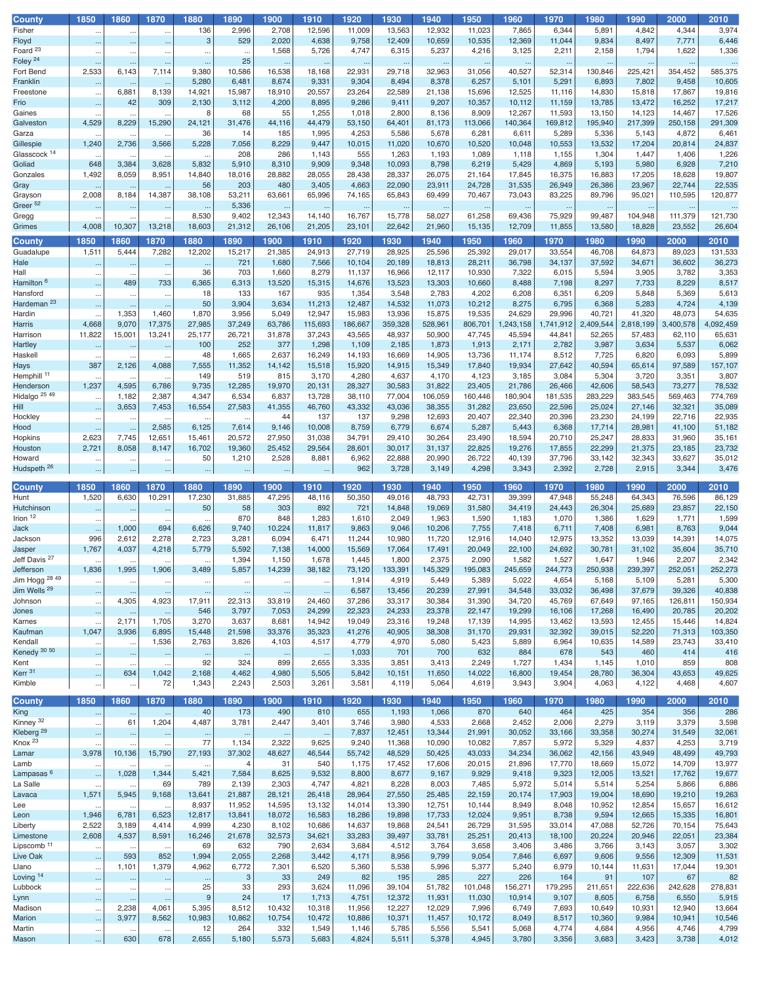| County                   | 1850                 | 1860                 | 1870                 | 1880      | 1890           | 1900                 | 1910      | 1920      | 1930      | 1940      | 1950      | 1960      | 1970      | 1980      | 1990      | 2000      | 2010      |
|--------------------------|----------------------|----------------------|----------------------|-----------|----------------|----------------------|-----------|-----------|-----------|-----------|-----------|-----------|-----------|-----------|-----------|-----------|-----------|
| Fisher                   | $\cdot$ .            | $\ddotsc$            | $\ddotsc$            | 136       | 2,996          | 2,708                | 12,596    | 11,009    | 13,563    | 12,932    | 11,023    | 7,865     | 6,344     | 5,891     | 4,842     | 4,344     | 3,974     |
| Floyd                    |                      |                      |                      | 3         | 529            | 2,020                | 4,638     | 9,758     | 12,409    | 10,659    | 10,535    | 12,369    | 11,044    | 9,834     | 8,497     | 7,771     | 6,446     |
|                          | $\ddotsc$            | $\cdots$             | $\cdots$             |           |                |                      |           |           |           |           |           |           |           |           |           |           |           |
| Foard <sup>23</sup>      | $\ddot{\phantom{0}}$ | $\ddotsc$            |                      |           |                | 1,568                | 5,726     | 4,747     | 6,315     | 5,237     | 4,216     | 3,125     | 2,211     | 2,158     | 1,794     | 1,622     | 1,336     |
| Foley <sup>24</sup>      | $\ddotsc$            | $\ddotsc$            | $\ddotsc$            | $\ddotsc$ | 25             | $\ddotsc$            | $\ldots$  | $\ddotsc$ | $\ddotsc$ | $\ddotsc$ | $\sim$    | $\ddotsc$ | $\ldots$  | $\ddotsc$ | $\ldots$  | $\ddotsc$ | $\cdots$  |
| Fort Bend                | 2,533                | 6,143                | 7,114                | 9,380     | 10,586         | 16,538               | 18,168    | 22,931    | 29,718    | 32,963    | 31,056    | 40,527    | 52,314    | 130,846   | 225,421   | 354,452   | 585,375   |
| Franklin                 |                      |                      |                      | 5,280     | 6,481          | 8,674                | 9,331     | 9,304     | 8,494     | 8,378     | 6,257     | 5,101     | 5,291     | 6,893     | 7,802     | 9,458     | 10,605    |
|                          | $\ddotsc$            | $\cdots$             | $\cdots$             |           |                |                      |           |           |           |           |           |           |           |           |           |           |           |
| Freestone                | $\ddot{\phantom{0}}$ | 6,881                | 8,139                | 14,921    | 15,987         | 18,910               | 20,557    | 23,264    | 22,589    | 21,138    | 15,696    | 12,525    | 11,116    | 14,830    | 15,818    | 17,867    | 19,816    |
| Frio                     | $\ddot{\phantom{1}}$ | 42                   | 309                  | 2,130     | 3,112          | 4,200                | 8,895     | 9,286     | 9,411     | 9,207     | 10,357    | 10,112    | 11,159    | 13,785    | 13,472    | 16,252    | 17,217    |
| Gaines                   | $\ddotsc$            | $\cdots$             | $\ddot{\phantom{0}}$ | 8         | 68             | 55                   | 1,255     | 1,018     | 2,800     | 8,136     | 8,909     | 12,267    | 11,593    | 13,150    | 14,123    | 14,467    | 17,526    |
| Galveston                | 4,529                | 8,229                | 15,290               | 24,121    | 31,476         | 44,116               | 44,479    | 53,150    | 64,401    | 81,173    | 113,066   | 140,364   | 169,812   | 195,940   | 217,399   | 250,158   | 291,309   |
|                          |                      |                      |                      | 36        | 14             | 185                  | 1,995     | 4,253     | 5,586     | 5,678     | 6,281     | 6,611     | 5,289     | 5,336     | 5,143     | 4,872     | 6,461     |
| Garza                    |                      | $\ddotsc$            |                      |           |                |                      |           |           |           |           |           |           |           |           |           |           |           |
| Gillespie                | 1,240                | 2,736                | 3,566                | 5,228     | 7,056          | 8,229                | 9,447     | 10,015    | 11,020    | 10,670    | 10,520    | 10,048    | 10,553    | 13,532    | 17,204    | 20,814    | 24,837    |
| Glasscock <sup>14</sup>  | $\ddotsc$            | $\ddotsc$            | $\ddotsc$            | $\ddotsc$ | 208            | 286                  | 1,143     | 555       | 1,263     | 1,193     | 1,089     | 1,118     | 1,155     | 1,304     | 1,447     | 1,406     | 1,226     |
| Goliad                   | 648                  | 3,384                | 3,628                | 5,832     | 5,910          | 8,310                | 9,909     | 9,348     | 10,093    | 8,798     | 6,219     | 5,429     | 4,869     | 5,193     | 5,980     | 6,928     | 7,210     |
| Gonzales                 | 1,492                | 8,059                | 8,951                | 14,840    | 18,016         | 28,882               | 28,055    | 28,438    | 28,337    | 26,075    | 21,164    | 17,845    | 16,375    | 16,883    | 17,205    | 18,628    | 19,807    |
|                          |                      |                      |                      |           |                |                      |           |           |           |           |           |           |           |           |           |           |           |
| Gray                     |                      | $\ldots$             | $\ddotsc$            | 56        | 203            | 480                  | 3,405     | 4,663     | 22,090    | 23,911    | 24,728    | 31,535    | 26,949    | 26,386    | 23,967    | 22,744    | 22,535    |
| Grayson                  | 2,008                | 8,184                | 14,387               | 38,108    | 53,211         | 63,661               | 65,996    | 74,165    | 65,843    | 69,499    | 70,467    | 73,043    | 83,225    | 89,796    | 95,021    | 110,595   | 120,877   |
| Greer <sup>52</sup>      | $\ddot{\phantom{1}}$ | $\ldots$             | $\ddotsc$            | $\cdots$  | 5,336          | $\ddotsc$            | $\ldots$  | $\ldots$  | $\ddotsc$ | $\ddotsc$ | $\ddotsc$ | $\ddotsc$ | $\ldots$  | $\cdots$  | $\ldots$  | $\cdots$  |           |
| Gregg                    |                      | $\ddotsc$            | $\ddots$             | 8,530     | 9,402          | 12,343               | 14,140    | 16,767    | 15,778    | 58,027    | 61,258    | 69,436    | 75,929    | 99,487    | 104,948   | 111,379   | 121,730   |
|                          | 4,008                | 10,307               | 13,218               | 18,603    | 21,312         | 26,106               | 21,205    |           | 22,642    | 21,960    |           | 12,709    |           |           | 18,828    | 23,552    | 26,604    |
| Grimes                   |                      |                      |                      |           |                |                      |           | 23,101    |           |           | 15,135    |           | 11,855    | 13,580    |           |           |           |
| County                   | 1850                 | 1860                 | 1870                 | 1880      | 1890           | 1900                 | 1910      | 1920      | 1930      | 1940      | 1950      | 1960      | 1970      | 1980      | 1990      | 2000      | 2010      |
|                          |                      |                      |                      |           |                |                      |           |           |           |           |           |           |           |           |           |           |           |
| Guadalupe                | 1,511                | 5,444                | 7,282                | 12,202    | 15,217         | 21,385               | 24,913    | 27,719    | 28,925    | 25,596    | 25,392    | 29,017    | 33,554    | 46,708    | 64,873    | 89,023    | 131,533   |
| Hale                     | $\ddotsc$            | $\cdots$             | $\ddotsc$            | $\cdots$  | 721            | 1,680                | 7,566     | 10,104    | 20,189    | 18,813    | 28,211    | 36,798    | 34,137    | 37,592    | 34,671    | 36,602    | 36,273    |
| Hall                     | $\cdot$ .            | $\ddotsc$            | $\ddots$             | 36        | 703            | 1,660                | 8,279     | 11,137    | 16,966    | 12,117    | 10,930    | 7,322     | 6,015     | 5,594     | 3,905     | 3,782     | 3,353     |
| Hamilton <sup>6</sup>    | $\ddotsc$            | 489                  | 733                  | 6,365     | 6,313          | 13,520               | 15,315    | 14,676    | 13,523    | 13,303    | 10,660    | 8,488     | 7,198     | 8,297     | 7,733     | 8,229     | 8,517     |
|                          |                      |                      |                      |           |                |                      |           |           |           |           |           |           |           |           |           |           |           |
| Hansford                 | $\ddot{\phantom{0}}$ | $\ddotsc$            |                      | 18        | 133            | 167                  | 935       | 1,354     | 3,548     | 2,783     | 4,202     | 6,208     | 6,351     | 6,209     | 5,848     | 5,369     | 5,613     |
| Hardeman <sup>23</sup>   | $\ddotsc$            | $\ddotsc$            | $\ddotsc$            | 50        | 3,904          | 3,634                | 11,213    | 12,487    | 14,532    | 11,073    | 10,212    | 8,275     | 6,795     | 6,368     | 5,283     | 4,724     | 4,139     |
| Hardin                   | $\ddot{\phantom{a}}$ | 1,353                | 1,460                | 1,870     | 3,956          | 5,049                | 12,947    | 15,983    | 13,936    | 15,875    | 19,535    | 24,629    | 29,996    | 40,721    | 41,320    | 48,073    | 54,635    |
| Harris                   | 4,668                | 9,070                | 17,375               | 27,985    | 37,249         | 63,786               | 115,693   | 186,667   | 359,328   | 528,961   | 806,701   | 1,243,158 | 1,741,912 | 2,409,544 | 2,818,199 | 3,400,578 | 4,092,459 |
| Harrison                 | 11,822               | 15,001               | 13,241               | 25,177    | 26,721         | 31,878               | 37,243    | 43,565    | 48,937    | 50,900    | 47,745    | 45,594    | 44,841    | 52,265    | 57,483    | 62,110    | 65,631    |
|                          |                      |                      |                      |           |                |                      |           |           |           |           |           |           |           |           |           |           |           |
| Hartley                  | $\ddotsc$            | $\cdots$             | $\ddotsc$            | 100       | 252            | 377                  | 1,298     | 1,109     | 2,185     | 1,873     | 1,913     | 2,171     | 2,782     | 3,987     | 3,634     | 5,537     | 6,062     |
| Haskell                  | $\ddot{\phantom{0}}$ | $\cdots$             | $\ddotsc$            | 48        | 1,665          | 2,637                | 16,249    | 14,193    | 16,669    | 14,905    | 13,736    | 11,174    | 8,512     | 7,725     | 6,820     | 6,093     | 5,899     |
| Hays                     | 387                  | 2,126                | 4,088                | 7,555     | 11,352         | 14,142               | 15,518    | 15,920    | 14,915    | 15,349    | 17,840    | 19,934    | 27,642    | 40,594    | 65,614    | 97,589    | 157,107   |
| Hemphill                 |                      |                      |                      | 149       | 519            | 815                  | 3,170     | 4,280     | 4,637     | 4,170     | 4,123     | 3,185     | 3,084     | 5,304     | 3,720     | 3,351     | 3,807     |
|                          | $\ddotsc$            | $\ddotsc$            | $\ddots$             |           |                |                      |           |           |           |           |           |           |           |           |           |           |           |
| Henderson                | 1,237                | 4,595                | 6,786                | 9,735     | 12,285         | 19,970               | 20,131    | 28,327    | 30,583    | 31,822    | 23,405    | 21,786    | 26,466    | 42,606    | 58,543    | 73,277    | 78,532    |
| Hidalgo <sup>25 49</sup> | $\ddotsc$            | 1,182                | 2,387                | 4,347     | 6,534          | 6,837                | 13,728    | 38,110    | 77,004    | 106,059   | 160,446   | 180,904   | 181,535   | 283,229   | 383,545   | 569,463   | 774,769   |
| Hill                     | $\ddot{\phantom{1}}$ | 3,653                | 7,453                | 16,554    | 27,583         | 41,355               | 46,760    | 43,332    | 43,036    | 38,355    | 31,282    | 23,650    | 22,596    | 25,024    | 27,146    | 32,321    | 35,089    |
| Hockley                  |                      |                      | $\ddots$             | $\ddotsc$ | $\ddotsc$      | 44                   | 137       | 137       | 9,298     | 12,693    | 20,407    | 22,340    | 20,396    | 23,230    | 24,199    | 22,716    | 22,935    |
|                          | $\cdot$              | $\ldots$             |                      |           |                |                      |           |           |           |           |           |           |           |           |           |           |           |
| Hood                     | $\ldots$             | $\ldots$             | 2,585                | 6,125     | 7,614          | 9,146                | 10,008    | 8,759     | 6,779     | 6,674     | 5,287     | 5,443     | 6,368     | 17,714    | 28,981    | 41,100    | 51,182    |
| Hopkins                  | 2,623                | 7,745                | 12,651               | 15,461    | 20,572         | 27,950               | 31,038    | 34,791    | 29,410    | 30,264    | 23,490    | 18,594    | 20,710    | 25,247    | 28,833    | 31,960    | 35,161    |
| Houston                  | 2,721                | 8,058                | 8,147                | 16,702    | 19,360         | 25,452               | 29,564    | 28,601    | 30,017    | 31,137    | 22,825    | 19,276    | 17,855    | 22,299    | 21,375    | 23,185    | 23,732    |
| Howard                   |                      | $\ddot{\phantom{0}}$ | $\ddots$             | 50        | 1,210          | 2,528                | 8,881     | 6,962     | 22,888    | 20,990    | 26,722    | 40,139    | 37,796    | 33,142    | 32,343    | 33,627    | 35,012    |
| Hudspeth <sup>26</sup>   |                      |                      |                      |           |                |                      |           | 962       | 3,728     | 3,149     | 4,298     | 3,343     | 2,392     | 2,728     | 2,915     | 3,344     | 3,476     |
|                          |                      |                      | $\ddotsc$            |           |                |                      |           |           |           |           |           |           |           |           |           |           |           |
|                          |                      |                      |                      |           |                |                      |           |           |           |           |           |           |           |           |           |           |           |
|                          |                      |                      |                      |           |                |                      |           |           |           |           |           |           |           |           |           |           |           |
| <b>County</b>            | 1850                 | 1860                 | 1870                 | 1880      | 1890           | 1900                 | 1910      | 1920      | 1930      | 1940      | 1950      | 1960      | 1970      | 1980      | 1990      | 2000      | 2010      |
| Hunt                     | 1,520                | 6,630                | 10,291               | 17,230    | 31,885         | 47,295               | 48,116    | 50,350    | 49,016    | 48,793    | 42,731    | 39,399    | 47,948    | 55,248    | 64,343    | 76,596    | 86,129    |
| Hutchinson               | $\ldots$             | $\ldots$             | $\cdots$             | 50        | 58             | 303                  | 892       | 721       | 14,848    | 19,069    | 31,580    | 34,419    | 24,443    | 26,304    | 25,689    | 23,857    | 22,150    |
|                          |                      | $\ddotsc$            | $\ddotsc$            | $\ddotsc$ | 870            | 848                  | 1,283     | 1,610     | 2,049     | 1,963     | 1,590     |           | 1,070     | 1,386     | 1,629     | 1,771     | 1,599     |
| Irion $12$               | $\cdot$ .            |                      |                      |           |                |                      |           |           |           |           |           | 1,183     |           |           |           |           |           |
| Jack                     | $\ldots$             | 1,000                | 694                  | 6,626     | 9,740          | 10,224               | 11,817    | 9,863     | 9,046     | 10,206    | 7,755     | 7,418     | 6,711     | 7,408     | 6,981     | 8,763     | 9,044     |
| Jackson                  | 996                  | 2,612                | 2,278                | 2,723     | 3,281          | 6,094                | 6,471     | 11,244    | 10,980    | 11,720    | 12,916    | 14,040    | 12,975    | 13,352    | 13,039    | 14,391    | 14,075    |
| Jasper                   | 1,767                | 4,037                | 4,218                | 5,779     | 5,592          | 7,138                | 14,000    | 15,569    | 17,064    | 17,491    | 20,049    | 22,100    | 24,692    | 30,781    | 31,102    | 35,604    | 35,710    |
| Jeff Davis <sup>27</sup> |                      |                      |                      |           | 1,394          | 1,150                | 1,678     | 1,445     | 1,800     | 2,375     | 2,090     | 1,582     | 1,527     | 1,647     | 1,946     | 2,207     | 2,342     |
| Jefferson                | 1,836                | 1,995                | 1,906                | 3,489     | 5,857          | 14,239               | 38,182    | 73,120    | 133,391   | 145,329   | 195,083   | 245,659   | 244,773   | 250,938   | 239,397   | 252,051   | 252,273   |
|                          |                      |                      |                      |           |                |                      |           |           |           |           |           |           |           |           |           |           |           |
| Jim Hogg 28 49           | $\ddotsc$            | $\ddotsc$            | $\ddots$             | $\cdots$  |                | $\ddot{\phantom{0}}$ | $\ddotsc$ | 1,914     | 4,919     | 5,449     | 5,389     | 5,022     | 4,654     | 5,168     | 5,109     | 5,281     | 5,300     |
| Jim Wells <sup>29</sup>  | $\ddotsc$            | $\cdots$             | $\cdots$             | $\cdots$  | $\cdots$       | $\ddotsc$            | $\cdots$  | 6,587     | 13,456    | 20,239    | 27,991    | 34,548    | 33,032    | 36,498    | 37,679    | 39,326    | 40,838    |
| Johnson                  | $\ddotsc$            | 4,305                | 4,923                | 17,911    | 22,313         | 33,819               | 24,460    | 37,286    | 33,317    | 30,384    | 31,390    | 34,720    | 45,769    | 67,649    | 97,165    | 126,811   | 150,934   |
| Jones                    | $\cdot$ .            | $\cdots$             | $\cdots$             | 546       | 3,797          | 7,053                | 24,299    | 22,323    | 24,233    | 23,378    | 22,147    | 19,299    | 16,106    | 17,268    | 16,490    | 20,785    | 20,202    |
| Karnes                   | $\ddot{\phantom{0}}$ | 2,171                | 1,705                | 3,270     | 3,637          | 8,681                | 14,942    | 19,049    | 23,316    | 19,248    | 17,139    | 14,995    | 13,462    | 13,593    | 12,455    | 15,446    | 14,824    |
|                          |                      |                      |                      |           |                |                      |           |           |           |           |           |           |           |           |           |           |           |
| Kaufman                  | 1,047                | 3,936                | 6,895                | 15,448    | 21,598         | 33,376               | 35,323    | 41,276    | 40,905    | 38,308    | 31,170    | 29,931    | 32,392    | 39,015    | 52,220    | 71,313    | 103,350   |
| Kendall                  | $\ddotsc$            | $\ldots$             | 1,536                | 2,763     | 3,826          | 4,103                | 4,517     | 4,779     | 4,970     | 5,080     | 5,423     | 5,889     | 6,964     | 10,635    | 14,589    | 23,743    | 33,410    |
| Kenedy 30 50             | $\ddot{\phantom{1}}$ | $\cdots$             | $\cdots$             | $\cdots$  | $\cdots$       | $\ddotsc$            | $\cdots$  | 1,033     | 701       | 700       | 632       | 884       | 678       | 543       | 460       | 414       | 416       |
| Kent                     | $\ddot{\phantom{0}}$ | $\ldots$             | $\ddotsc$            | 92        | 324            | 899                  | 2,655     | 3,335     | 3,851     | 3,413     | 2,249     | 1,727     | 1,434     | 1,145     | 1,010     | 859       | 808       |
| Kerr <sup>31</sup>       | $\ddotsc$            | 634                  | 1,042                | 2,168     | 4,462          | 4,980                | 5,505     | 5,842     | 10,151    | 11,650    | 14,022    | 16,800    | 19,454    | 28,780    | 36,304    | 43,653    | 49,625    |
|                          |                      |                      |                      |           |                |                      |           |           |           |           |           |           |           |           |           |           |           |
| Kimble                   | $\ldots$             | $\ldots$             | 72                   | 1,343     | 2,243          | 2,503                | 3,261     | 3,581     | 4,119     | 5,064     | 4,619     | 3,943     | 3,904     | 4,063     | 4,122     | 4,468     | 4,607     |
|                          |                      |                      |                      |           |                |                      |           |           |           |           |           |           |           |           |           |           |           |
| <b>County</b>            | 1850                 | 1860                 | 1870                 | 1880      | 1890           | 1900                 | 1910      | 1920      | 1930      | 1940      | 1950      | 1960      | 1970      | 1980      | 1990      | 2000      | 2010      |
| King                     | $\cdot$ .            | $\ddotsc$            | $\ddotsc$            | 40        | 173            | 490                  | 810       | 655       | 1,193     | 1,066     | 870       | 640       | 464       | 425       | 354       | 356       | 286       |
| Kinney <sup>32</sup>     | $\ldots$             | 61                   | 1,204                | 4,487     | 3,781          | 2,447                | 3,401     | 3,746     | 3,980     | 4,533     | 2,668     | 2,452     | 2,006     | 2,279     | 3,119     | 3,379     | 3,598     |
| Kleberg <sup>29</sup>    | $\ddot{\phantom{1}}$ | $\cdots$             | $\ddotsc$            | $\cdots$  |                | $\ddot{\phantom{1}}$ | $\cdots$  | 7,837     | 12,451    | 13,344    | 21,991    | 30,052    | 33,166    | 33,358    | 30,274    | 31,549    | 32,061    |
|                          | $\ddot{\phantom{0}}$ |                      | $\ddotsc$            | 77        | 1,134          | 2,322                | 9,625     | 9,240     | 11,368    | 10,090    | 10,082    | 7,857     | 5,972     | 5,329     | 4,837     | 4,253     | 3,719     |
| Knox <sup>23</sup>       |                      | $\cdots$             |                      |           |                |                      |           |           |           |           |           |           |           |           |           |           |           |
| Lamar                    | 3,978                | 10,136               | 15,790               | 27,193    | 37,302         | 48,627               | 46,544    | 55,742    | 48,529    | 50,425    | 43,033    | 34,234    | 36,062    | 42,156    | 43,949    | 48,499    | 49,793    |
| Lamb                     | $\ddot{\phantom{0}}$ | $\ddotsc$            | $\ddots$             | $\ddotsc$ | $\overline{4}$ | 31                   | 540       | 1,175     | 17,452    | 17,606    | 20,015    | 21,896    | 17,770    | 18,669    | 15,072    | 14,709    | 13,977    |
| Lampasas <sup>6</sup>    | $\ddot{\phantom{1}}$ | 1,028                | 1,344                | 5,421     | 7,584          | 8,625                | 9,532     | 8,800     | 8,677     | 9,167     | 9,929     | 9,418     | 9,323     | 12,005    | 13,521    | 17,762    | 19,677    |
| La Salle                 | $\ddotsc$            | $\cdots$             | 69                   | 789       | 2,139          | 2,303                | 4,747     | 4,821     | 8,228     | 8,003     | 7,485     | 5,972     | 5,014     | 5,514     | 5,254     | 5,866     | 6,886     |
|                          |                      |                      |                      |           |                |                      |           |           |           |           |           |           |           |           |           |           |           |
| Lavaca                   | 1,571                | 5,945                | 9,168                | 13,641    | 21,887         | 28,121               | 26,418    | 28,964    | 27,550    | 25,485    | 22,159    | 20,174    | 17,903    | 19,004    | 18,690    | 19,210    | 19,263    |
| Lee                      | $\ddotsc$            | $\ldots$             | $\ddots$             | 8,937     | 11,952         | 14,595               | 13,132    | 14,014    | 13,390    | 12,751    | 10,144    | 8,949     | 8,048     | 10,952    | 12,854    | 15,657    | 16,612    |
| Leon                     | 1,946                | 6,781                | 6,523                | 12,817    | 13,841         | 18,072               | 16,583    | 18,286    | 19,898    | 17,733    | 12,024    | 9,951     | 8,738     | 9,594     | 12,665    | 15,335    | 16,801    |
| Liberty                  | 2,522                | 3,189                | 4,414                | 4,999     | 4,230          | 8,102                | 10,686    | 14,637    | 19,868    | 24,541    | 26,729    | 31,595    | 33,014    | 47,088    | 52,726    | 70,154    | 75,643    |
| Limestone                | 2,608                | 4,537                | 8,591                | 16,246    |                |                      | 34,621    | 33,283    | 39,497    | 33,781    | 25,251    |           | 18,100    | 20,224    | 20,946    | 22,051    |           |
|                          |                      |                      |                      |           | 21,678         | 32,573               |           |           |           |           |           | 20,413    |           |           |           |           | 23,384    |
| Lipscomb <sup>11</sup>   | $\ddotsc$            | $\ldots$             | $\ddotsc$            | 69        | 632            | 790                  | 2,634     | 3,684     | 4,512     | 3,764     | 3,658     | 3,406     | 3,486     | 3,766     | 3,143     | 3,057     | 3,302     |
| Live Oak                 | $\ldots$             | 593                  | 852                  | 1,994     | 2,055          | 2,268                | 3,442     | 4,171     | 8,956     | 9,799     | 9,054     | 7,846     | 6,697     | 9,606     | 9,556     | 12,309    | 11,531    |
| Llano                    | $\ldots$             | 1,101                | 1,379                | 4,962     | 6,772          | 7,301                | 6,520     | 5,360     | 5,538     | 5,996     | 5,377     | 5,240     | 6,979     | 10,144    | 11,631    | 17,044    | 19,301    |
| Loving <sup>14</sup>     | $\ldots$             | $\ldots$             | $\cdots$             | $\cdots$  | $\mathbf{3}$   | 33                   | 249       | 82        | 195       | 285       | 227       | 226       | 164       | 91        | 107       | 67        | 82        |
| Lubbock                  |                      |                      |                      | 25        | 33             | 293                  | 3,624     | 11,096    | 39,104    | 51,782    | 101,048   | 156,271   | 179,295   | 211,651   | 222,636   | 242,628   |           |
|                          | $\ddot{\phantom{0}}$ | $\ldots$             | $\cdots$             |           |                |                      |           |           |           |           |           |           |           |           |           |           | 278,831   |
| Lynn                     | $\ddotsc$            | $\cdots$             | $\cdots$             | 9         | 24             | 17                   | 1,713     | 4,751     | 12,372    | 11,931    | 11,030    | 10,914    | 9,107     | 8,605     | 6,758     | 6,550     | 5,915     |
| Madison                  | $\cdot$ .            | 2,238                | 4,061                | 5,395     | 8,512          | 10,432               | 10,318    | 11,956    | 12,227    | 12,029    | 7,996     | 6,749     | 7,693     | 10,649    | 10,931    | 12,940    | 13,664    |
| Marion                   | $\ddotsc$            | 3,977                | 8,562                | 10,983    | 10,862         | 10,754               | 10,472    | 10,886    | 10,371    | 11,457    | 10,172    | 8,049     | 8,517     | 10,360    | 9,984     | 10,941    | 10,546    |
| Martin                   | $\ddotsc$            | $\ddotsc$            | $\ddotsc$            | 12        | 264            | 332                  | 1,549     | 1,146     | 5,785     | 5,556     | 5,541     | 5,068     | 4,774     | 4,684     | 4,956     | 4,746     | 4,799     |
| Mason                    | $\cdots$             | 630                  | 678                  | 2,655     | 5,180          | 5,573                | 5,683     | 4,824     | 5,511     | 5,378     | 4,945     | 3,780     | 3,356     | 3,683     | 3,423     | 3,738     | 4,012     |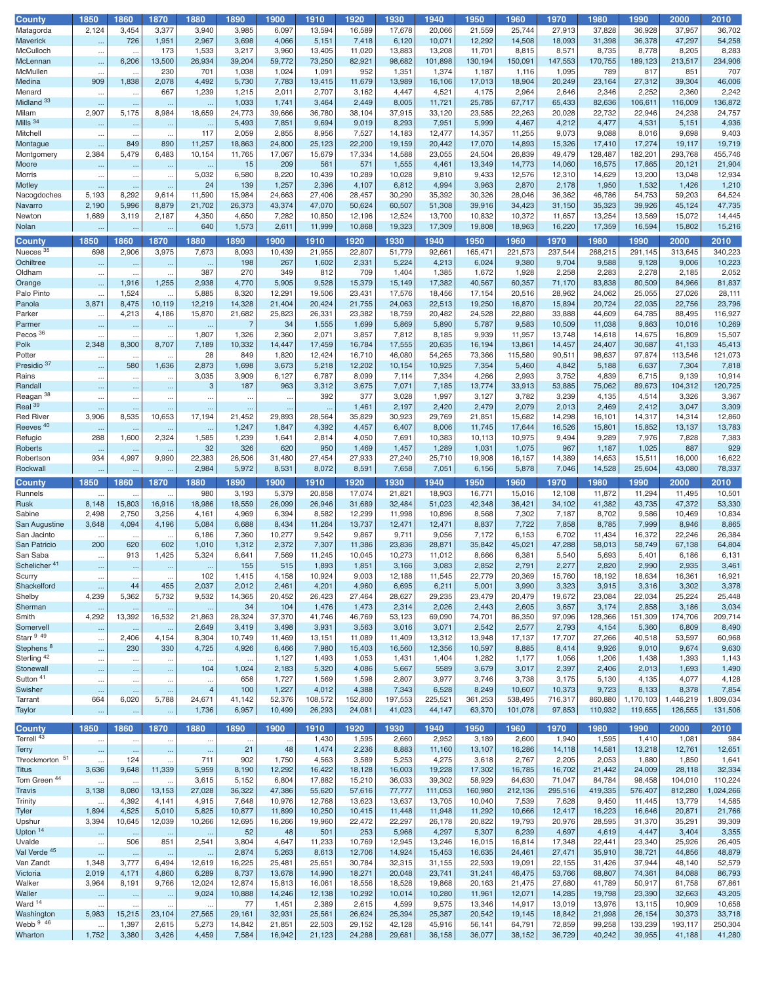| <b>County</b>                   | 1850                              | 1860               | 1870                  | 1880                        | 1890                 | 1900             | 1910             | 1920             | 1930             | 1940             | 1950             | 1960             | 1970             | 1980             | 1990              | 2000              | 2010              |
|---------------------------------|-----------------------------------|--------------------|-----------------------|-----------------------------|----------------------|------------------|------------------|------------------|------------------|------------------|------------------|------------------|------------------|------------------|-------------------|-------------------|-------------------|
| Matagorda                       | 2,124                             | 3,454              | 3,377                 | 3,940                       | 3,985                | 6,097            | 13,594           | 16,589           | 17,678           | 20,066           | 21,559           | 25,744           | 27,913           | 37,828           | 36,928            | 37,957            | 36,702            |
| Maverick                        | $\ldots$                          | 726                | 1,951                 | 2,967                       | 3,698                | 4,066            | 5,151            | 7,418            | 6,120            | 10,071           | 12,292           | 14,508           | 18,093           | 31,398           | 36,378            | 47,297            | 54,258            |
| McCulloch                       | $\ddot{\phantom{0}}$              |                    | 173                   | 1,533                       | 3,217                | 3,960            | 13,405           | 11,020           | 13,883           | 13,208           | 11,701           | 8,815            | 8,571            | 8,735            | 8,778             | 8,205             | 8,283             |
| McLennan                        | $\ddotsc$                         | 6,206              | 13,500                | 26,934                      | 39,204               | 59,772           | 73,250           | 82,921           | 98,682           | 101,898          | 130,194          | 150,091          | 147,553          | 170,755          | 189,123           | 213,517           | 234,906           |
| McMullen                        | $\ddotsc$                         | $\ddotsc$          | 230                   | 701                         | 1,038                | 1,024            | 1,091            | 952              | 1,351            | 1,374            | 1,187            | 1,116            | 1,095            | 789              | 817               | 851               | 707               |
| Medina                          | 909                               | 1,838              | 2,078                 | 4,492                       | 5,730                | 7,783            | 13,415           | 11,679           | 13,989           | 16,106           | 17,013           | 18,904           | 20,249           | 23,164           | 27,312            | 39,304            | 46,006            |
| Menard                          | $\ddot{\phantom{0}}$              | $\ddotsc$          | 667                   | 1,239                       | 1,215                | 2,011            | 2,707            | 3,162            | 4,447            | 4,521            | 4,175            | 2,964            | 2,646            | 2,346            | 2,252             | 2,360             | 2,242             |
| Midland <sup>33</sup>           |                                   | $\ddotsc$          | $\ddotsc$             | Ω,                          | 1,033                | 1,741            | 3,464            | 2,449            | 8,005            | 11,721           | 25,785           | 67,717           | 65,433           | 82,636           | 106,611           | 116,009           | 136,872           |
| Milam                           | 2,907                             | 5,175              | 8,984                 | 18,659                      | 24,773               | 39,666           | 36,780           | 38,104           | 37,915           | 33,120           | 23,585           | 22,263           | 20,028           | 22,732           | 22,946            | 24,238            | 24,757            |
| Mills 34                        |                                   | $\cdots$           | $\cdots$              | $\ldots$                    | 5,493                | 7,851            | 9,694            | 9,019            | 8,293            | 7,951            | 5,999            | 4,467            | 4,212            | 4,477            | 4,531             | 5,151             | 4,936             |
| Mitchell                        | $\cdot$                           | $\ddotsc$          | $\ddotsc$             | 117                         | 2,059                | 2,855            | 8,956            | 7,527            | 14,183           | 12,477           | 14,357           | 11,255           | 9,073            | 9,088            | 8,016             | 9,698             | 9,403             |
| Montague                        |                                   | 849                | 890                   | 11,257                      | 18,863               | 24,800           | 25,123           | 22,200           | 19,159           | 20,442           | 17,070           | 14,893           | 15,326           | 17,410           | 17,274            | 19,117            | 19,719            |
| Montgomery                      | 2,384                             | 5,479              | 6,483                 | 10,154                      | 11,765               | 17,067           | 15,679           | 17,334           | 14,588           | 23,055           | 24,504           | 26,839           | 49,479           | 128,487          | 182,201           | 293,768           | 455,746           |
| Moore                           | $\ddot{\phantom{0}}$              | $\ddotsc$          | $\ddotsc$             | $\ldots$                    | 15                   | 209              | 561              | 571              | 1,555            | 4,461            | 13,349           | 14,773           | 14,060           | 16,575           | 17,865            | 20,121            | 21,904            |
| Morris                          | $\cdot$                           | $\ddotsc$          | $\ddotsc$             | 5,032                       | 6,580                | 8,220            | 10,439           | 10,289           | 10,028           | 9,810            | 9,433            | 12,576           | 12,310           | 14,629           | 13,200            | 13,048            | 12,934            |
| Motley                          |                                   | $\ddotsc$          | $\ddots$              | 24                          | 139                  | 1,257            | 2,396            | 4,107            | 6,812            | 4,994            | 3,963            | 2,870            | 2,178            | 1,950            | 1,532             | 1,426             | 1,210             |
| Nacogdoches                     | 5,193                             | 8,292              | 9,614                 | 11,590                      | 15,984               | 24,663           | 27,406           | 28,457           | 30,290           | 35,392           | 30,326           | 28,046           | 36,362           | 46,786           | 54,753            | 59,203            | 64,524            |
| Navarro                         | 2,190                             | 5,996              | 8,879                 | 21,702                      | 26,373               | 43,374           | 47,070           | 50,624           | 60,507           | 51,308           | 39,916           | 34,423           | 31,150           | 35,323           | 39,926            | 45,124            | 47,735            |
| Newton                          | 1,689                             | 3,119              | 2,187                 | 4,350                       | 4,650                | 7,282            | 10,850           | 12,196           | 12,524           | 13,700           | 10,832           | 10,372           | 11,657           | 13,254           | 13,569            | 15,072            | 14,445            |
| Nolan                           |                                   |                    |                       | 640                         | 1,573                | 2,611            | 11,999           | 10,868           | 19,323           | 17,309           | 19,808           | 18,963           | 16,220           | 17,359           | 16,594            | 15,802            | 15,216            |
|                                 |                                   |                    |                       |                             |                      |                  |                  |                  |                  |                  |                  |                  |                  |                  |                   |                   |                   |
| <b>County</b>                   | 1850                              | 1860               | 1870                  | 1880                        | 1890                 | 1900             | 1910             | 1920             | 1930             | 1940             | 1950             | 1960             | 1970             | 1980             | 1990              | 2000              | 2010              |
| Nueces <sup>35</sup>            | 698                               | 2,906              | 3,975                 | 7,673                       | 8,093                | 10,439           | 21,955           | 22,807           | 51,779           | 92,661           | 165,471          | 221,573          | 237,544          | 268,215          | 291,145           | 313,645           | 340,223           |
| Ochiltree                       | $\ddotsc$                         | $\ddotsc$          | $\ddotsc$             | $\ddotsc$                   | 198                  | 267              | 1,602            | 2,331            | 5,224            | 4,213            | 6,024            | 9,380            | 9,704            | 9,588            | 9,128             | 9,006             | 10,223            |
| Oldham                          | $\ddotsc$                         |                    | $\ddots$              | 387                         | 270                  | 349              | 812              | 709              | 1,404            | 1,385            | 1,672            | 1,928            | 2,258            | 2,283            | 2,278             | 2,185             | 2,052             |
| Orange                          | $\ddotsc$                         | 1,916              | 1,255                 | 2,938                       | 4,770                | 5,905            | 9,528            | 15,379           | 15,149           | 17,382           | 40,567           | 60,357           | 71,170           | 83,838           | 80,509            | 84,966            | 81,837            |
| Palo Pinto                      |                                   | 1,524              |                       | 5,885                       | 8,320                | 12,291           | 19,506           | 23,431           | 17,576           | 18,456           | 17,154           | 20,516           | 28,962           | 24,062           | 25,055            | 27,026            | 28,111            |
| Panola                          | 3,871                             | 8,475              | 10,119                | 12,219                      | 14,328               | 21,404           | 20,424           | 21,755           | 24,063           | 22,513           | 19,250           | 16,870           | 15,894           | 20,724           | 22,035            | 22,756            | 23,796            |
| Parker                          | $\ddotsc$                         | 4,213              | 4,186                 | 15,870                      | 21,682               | 25,823           | 26,331           | 23,382           | 18,759           | 20,482           | 24,528           | 22,880           | 33,888           | 44,609           | 64,785            | 88,495            | 116,927           |
| Parmer                          | $\ldots$                          | $\ddotsc$          | $\cdots$              | $\ldots$                    | $\overline{7}$       | 34               | 1,555            | 1,699            | 5,869            | 5,890            | 5,787            | 9,583            | 10,509           | 11,038           | 9,863             | 10,016            | 10,269            |
| Pecos <sup>36</sup>             |                                   | $\ddotsc$          | $\ddotsc$             | 1,807                       | 1,326                | 2,360            | 2,071            | 3,857            | 7,812            | 8,185            | 9,939            | 11,957           | 13,748           | 14,618           | 14,675            | 16,809            | 15,507            |
| Polk                            | 2,348                             | 8,300              | 8,707                 | 7,189                       | 10,332               | 14,447           | 17,459           | 16,784           | 17,555           | 20,635           | 16,194           | 13,861           | 14,457           | 24,407           | 30,687            | 41,133            | 45,413            |
| Potter                          | $\ldots$                          | $\ddotsc$          | $\ddotsc$             | 28                          | 849                  | 1,820            | 12,424           | 16,710           | 46,080           | 54,265           | 73,366           | 115,580          | 90,511           | 98,637           | 97,874            | 113,546           | 121,073           |
| Presidio 37                     | $\ddotsc$                         | 580                | 1,636                 | 2,873                       | 1,698                | 3,673            | 5,218            | 12,202           | 10,154           | 10,925           | 7,354            | 5,460            | 4,842            | 5,188            | 6,637             | 7,304             | 7,818             |
| Rains                           | $\ddotsc$                         | $\ddotsc$          | $\ddotsc$             | 3,035                       | 3,909                | 6,127            | 6,787            | 8,099            | 7,114            | 7,334            | 4,266            | 2,993            | 3,752            | 4,839            | 6,715             | 9,139             | 10,914            |
| Randall                         |                                   |                    | $\ddots$              | 3                           | 187                  | 963              | 3,312            | 3,675            | 7,071            | 7,185            | 13,774           | 33,913           | 53,885           | 75,062           | 89,673            | 104,312           | 120,725           |
| Reagan <sup>38</sup>            | $\ddotsc$                         | $\ddotsc$          | $\ddots$              | $\ddotsc$                   | $\ddotsc$            | $\ddotsc$        | 392              | 377              | 3,028            | 1,997            | 3,127            | 3,782            | 3,239            | 4,135            | 4,514             | 3,326             | 3,367             |
| Real <sup>39</sup>              |                                   | $\ddotsc$          | $\cdots$              | $\ddotsc$                   | $\ddot{\phantom{1}}$ | $\sim$           | $\ldots$         | 1,461            | 2,197            | 2,420            | 2,479            | 2,079            | 2,013            | 2,469            | 2,412             | 3,047             | 3,309             |
| <b>Red River</b>                | 3,906                             | 8,535              | 10,653                | 17,194                      | 21,452               | 29,893           | 28,564           | 35,829           | 30,923           | 29,769           | 21,851           | 15,682           | 14,298           | 16,101           | 14,317            | 14,314            | 12,860            |
| Reeves <sup>40</sup>            |                                   | $\cdots$           |                       | $\cdots$                    | 1,247                | 1,847            | 4,392            | 4,457            | 6,407            | 8,006            | 11,745           | 17,644           | 16,526           | 15,801           | 15,852            | 13,137            | 13,783            |
| Refugio                         | 288                               | 1,600              | 2,324                 | 1,585                       | 1,239                | 1,641            | 2,814            | 4,050            | 7,691            | 10,383           | 10,113           | 10,975           | 9,494            | 9,289            | 7,976             | 7,828             | 7,383             |
| Roberts                         | $\ddotsc$                         | $\cdots$           | $\ddotsc$             | 32                          | 326                  | 620              | 950              | 1,469            | 1,457            | 1,289            | 1,031            | 1,075            | 967              | 1,187            | 1,025             | 887               | 929               |
| Robertson                       | 934                               | 4,997              | 9,990                 | 22,383                      | 26,506               | 31,480           | 27,454           | 27,933           | 27,240           | 25,710           | 19,908           | 16,157           | 14,389           | 14,653           | 15,511            | 16,000            | 16,622            |
| Rockwall                        |                                   |                    | $\ddotsc$             | 2,984                       | 5,972                | 8,531            | 8,072            | 8,591            | 7,658            | 7,051            | 6,156            | 5,878            | 7,046            | 14,528           | 25,604            | 43,080            | 78,337            |
| County                          | 1850                              | 1860               | 1870                  | 1880                        | 1890                 | 1900             | 1910             | 1920             | 1930             | 1940             | 1950             | 1960             | 1970             | 1980             | 1990              | 2000              | 2010              |
|                                 |                                   |                    |                       |                             |                      |                  |                  |                  |                  |                  |                  |                  |                  |                  |                   |                   |                   |
|                                 |                                   |                    |                       |                             |                      |                  |                  |                  |                  |                  |                  |                  |                  |                  |                   |                   |                   |
| Runnels                         |                                   | $\ddotsc$          |                       | 980                         | 3,193                | 5,379            | 20,858           | 17,074           | 21,821           | 18,903           | 16,771           | 15,016           | 12,108           | 11,872           | 11,294            | 11,495            | 10,501            |
| <b>Rusk</b>                     | 8,148                             | 15,803             | 16,916                | 18,986                      | 18,559               | 26,099           | 26,946           | 31,689           | 32,484           | 51,023           | 42,348           | 36,421           | 34,102           | 41,382           | 43,735            | 47,372            | 53,330            |
| Sabine                          | 2,498                             | 2,750              | 3,256                 | 4,161                       | 4,969                | 6,394            | 8,582            | 12,299           | 11,998           | 10,896           | 8,568            | 7,302            | 7,187            | 8,702            | 9,586             | 10,469            | 10,834            |
| San Augustine                   | 3,648                             | 4,094              | 4,196                 | 5,084                       | 6,688                | 8,434            | 11,264           | 13,737           | 12,471           | 12,471           | 8,837            | 7,722            | 7,858            | 8,785            | 7,999             | 8,946             | 8,865             |
| San Jacinto                     | $\cdot$                           | $\ddotsc$          | $\ddotsc$             | 6,186                       | 7,360                | 10,277           | 9,542            | 9,867            | 9,711            | 9,056            | 7,172            | 6,153            | 6,702            | 11,434           | 16,372            | 22,246            | 26,384            |
| San Patricio                    | 200                               | 620                | 602                   | 1,010                       | 1,312                | 2,372            | 7,307            | 11,386           | 23,836           | 28,871           | 35,842           | 45,021           | 47,288           | 58,013           | 58,749            | 67,138            | 64,804            |
| San Saba                        | $\ddot{\phantom{0}}$              | 913                | 1,425                 | 5,324                       | 6,641                | 7,569            | 11,245           | 10,045           | 10,273           | 11,012           | 8,666            | 6,381            | 5,540            | 5,693            | 5,401             | 6,186             | 6,131             |
| Schelicher <sup>41</sup>        | $\sim$                            | $\cdots$           | $\cdots$              | $\ddotsc$                   | 155                  | 515              | 1,893            | 1,851            | 3,166            | 3,083            | 2,852            | 2,791            | 2,277            | 2,820            | 2,990             | 2,935             | 3,461             |
| Scurry                          | $\cdots$                          | $\cdots$           | $\cdots$              | 102                         | 1,415                | 4,158            | 10,924           | 9,003            | 12,188           | 11,545           | 22,779           | 20,369           | 15,760           | 18,192           | 18,634            | 16,361            | 16,921            |
| Shackelford                     | $\cdots$                          | 44                 | 455                   | 2,037                       | 2,012                | 2,461            | 4,201            | 4,960            | 6,695            | 6,211            | 5,001            | 3,990            | 3,323            | 3,915            | 3,316             | 3,302             | 3,378             |
| Shelby                          | 4,239                             | 5,362              | 5,732                 | 9,532                       | 14,365               | 20,452           | 26,423           | 27,464           | 28,627           | 29,235           | 23,479           | 20,479           | 19,672           | 23,084           | 22,034            | 25,224            | 25,448            |
| Sherman                         | $\cdots$                          | $\cdots$           | $\cdots$              | $\ldots$                    | 34                   | 104              | 1,476            | 1,473            | 2,314            | 2,026            | 2,443            | 2,605            | 3,657            | 3,174            | 2,858             | 3,186             | 3,034             |
| Smith                           | 4,292                             | 13,392             | 16,532                | 21,863                      | 28,324               | 37,370           | 41,746           | 46,769           | 53,123           | 69,090           | 74,701           | 86,350           | 97,096           | 128,366          | 151,309           | 174,706           | 209,714           |
| Somervell                       | $\ddotsc$                         | $\ddotsc$          | $\ddotsc$             | 2,649                       | 3,419                | 3,498            | 3,931            | 3,563            | 3,016            | 3,071            | 2,542            | 2,577            | 2,793            | 4,154            | 5,360             | 6,809             | 8,490             |
| Starr 9 49                      | $\ldots$                          | 2,406              | 4,154                 | 8,304                       | 10,749               | 11,469           | 13,151           | 11,089           | 11,409           | 13,312           | 13,948           | 17,137           | 17,707           | 27,266           | 40,518            | 53,597            | 60,968            |
| Stephens <sup>8</sup>           | $\cdots$                          | 230                | 330                   | 4,725                       | 4,926                | 6,466            | 7,980            | 15,403           | 16,560           | 12,356           | 10,597           | 8,885            | 8,414            | 9,926            | 9,010             | 9,674             | 9,630             |
| Sterling <sup>42</sup>          | $\ldots$                          |                    | $\cdots$              | $\ddotsc$                   | $\ddotsc$            | 1,127            | 1,493            | 1,053            | 1,431            | 1,404            | 1,282            | 1,177            | 1,056            | 1,206            | 1,438             | 1,393             | 1,143             |
| Stonewall<br>Sutton 41          | $\sim$                            | $\cdots$           | $\cdots$              | 104                         | 1,024<br>658         | 2,183            | 5,320            | 4,086            | 5,667            | 5589             | 3,679            | 3,017            | 2,397            | 2,406            | 2,013             | 1,693             | 1,490             |
|                                 | $\ldots$                          | $\cdots$           | $\cdots$              | $\ddotsc$<br>$\overline{4}$ | 100                  | 1,727            | 1,569            | 1,598            | 2,807            | 3,977            | 3,746            | 3,738            | 3,175            | 5,130            | 4,135             | 4,077             | 4,128             |
| Swisher                         | $\cdots$                          | $\cdots$           | $\ldots$              |                             |                      | 1,227            | 4,012            | 4,388            | 7,343            | 6,528            | 8,249            | 10,607           | 10,373           | 9,723            | 8,133             | 8,378             | 7,854             |
| Tarrant                         | 664                               | 6,020              | 5,788                 | 24,671                      | 41,142               | 52,376           | 108,572          | 152,800          | 197,553          | 225,521          | 361,253          | 538,495          | 716,317          | 860,880          | 1,170,103         | 1,446,219         | 1,809,034         |
| <b>Taylor</b>                   |                                   | $\ddotsc$          | $\cdots$              | 1,736                       | 6,957                | 10,499           | 26,293           | 24,081           | 41,023           | 44,147           | 63,370           | 101,078          | 97,853           | 110,932          | 119,655           | 126,555           | 131,506           |
| <b>County</b>                   | 1850                              | 1860               | 1870                  | 1880                        | 1890                 | 1900             | 1910             | 1920             | 1930             | 1940             | 1950             | 1960             | 1970             | 1980             | 1990              | 2000              | 2010              |
| Terrell <sup>43</sup>           | $\cdots$                          | $\ldots$           | $\ldots$              | $\cdots$                    | $\ldots$             | $\cdots$         | 1,430            | 1,595            | 2,660            | 2,952            | 3,189            | 2,600            | 1,940            | 1,595            | 1,410             | 1,081             | 984               |
| <b>Terry</b>                    | $\ddotsc$                         | $\cdots$           | $\ldots$              | $\cdots$                    | 21                   | 48               | 1,474            | 2,236            | 8,883            | 11,160           | 13,107           | 16,286           | 14,118           | 14,581           | 13,218            | 12,761            | 12,651            |
| Throckmorton 51                 | $\ddotsc$                         | 124                | $\ddotsc$             | 711                         | 902                  | 1,750            | 4,563            | 3,589            | 5,253            | 4,275            | 3,618            | 2,767            | 2,205            | 2,053            | 1,880             | 1,850             | 1,641             |
| Titus                           | 3,636                             | 9,648              | 11,339                | 5,959                       | 8,190                | 12,292           | 16,422           | 18,128           | 16,003           | 19,228           | 17,302           | 16,785           | 16,702           | 21,442           | 24,009            | 28,118            | 32,334            |
| Tom Green <sup>44</sup>         | $\ddotsc$                         | $\ddotsc$          | $\ddotsc$             | 3,615                       | 5,152                | 6,804            | 17,882           | 15,210           | 36,033           | 39,302           | 58,929           | 64,630           | 71,047           | 84,784           | 98,458            | 104,010           | 110,224           |
| <b>Travis</b>                   | 3,138                             | 8,080              | 13,153                | 27,028                      | 36,322               | 47,386           | 55,620           | 57,616           | 77,777           | 111,053          | 160,980          | 212,136          | 295,516          | 419,335          | 576,407           | 812,280           | 1,024,266         |
| Trinity                         | $\ddotsc$                         | 4,392              | 4,141                 | 4,915                       | 7,648                | 10,976           | 12,768           | 13,623           | 13,637           | 13,705           | 10,040           | 7,539            | 7,628            | 9,450            | 11,445            | 13,779            | 14,585            |
| Tyler                           | 1,894                             | 4,525              | 5,010                 | 5,825                       | 10,877               | 11,899           | 10,250           | 10,415           | 11,448           | 11,948           | 11,292           | 10,666           | 12,417           | 16,223           | 16,646            | 20,871            | 21,766            |
| Upshur                          | 3,394                             | 10,645             | 12,039                | 10,266                      | 12,695               | 16,266           | 19,960           | 22,472           | 22,297           | 26,178           | 20,822           | 19,793           | 20,976           | 28,595           | 31,370            | 35,291            | 39,309            |
|                                 |                                   |                    |                       |                             | 52                   | 48               | 501              | 253              | 5,968            | 4,297            | 5,307            | 6,239            | 4,697            | 4,619            |                   | 3,404             | 3,355             |
| Upton <sup>14</sup><br>Uvalde   | $\ddot{\phantom{1}}$<br>$\ddotsc$ | $\cdots$<br>506    | $\ldots$<br>851       | $\cdots$<br>2,541           | 3,804                | 4,647            | 11,233           | 10,769           | 12,945           | 13,246           | 16,015           | 16,814           | 17,348           | 22,441           | 4,447<br>23,340   | 25,926            | 26,405            |
|                                 |                                   |                    |                       |                             |                      |                  |                  |                  |                  |                  |                  |                  |                  |                  |                   |                   |                   |
| Val Verde <sup>45</sup>         | $\cdots$                          | $\sim$             | $\ddotsc$             | $\cdots$                    | 2,874                | 5,263            | 8,613            | 12,706           | 14,924           | 15,453           | 16,635           | 24,461           | 27,471           | 35,910           | 38,721            | 44,856            | 48,879            |
| Van Zandt                       | 1,348                             | 3,777              | 6,494                 | 12,619                      | 16,225               | 25,481           | 25,651           | 30,784           | 32,315           | 31,155           | 22,593           | 19,091           | 22,155           | 31,426           | 37,944            | 48,140            | 52,579            |
| Victoria                        | 2,019                             | 4,171              | 4,860                 | 6,289                       | 8,737                | 13,678           | 14,990<br>16,061 | 18,271<br>18,556 | 20,048<br>18,528 | 23,741<br>19,868 | 31,241<br>20,163 | 46,475           | 53,766           | 68,807           | 74,361<br>50,917  | 84,088            | 86,793            |
| Walker                          | 3,964                             | 8,191              | 9,766                 | 12,024                      | 12,874               | 15,813           |                  |                  |                  |                  |                  | 21,475           | 27,680           | 41,789           |                   | 61,758            | 67,861            |
| Waller                          | $\cdot$<br>$\ddotsc$              | $\cdots$           | $\ldots$<br>$\ddotsc$ | 9,024<br>$\ddotsc$          | 10,888<br>77         | 14,246           | 12,138           | 10,292           | 10,014           | 10,280           | 11,961           | 12,071           | 14,285           | 19,798           | 23,390            | 32,663            | 43,205            |
| Ward 14<br>Washington           | 5,983                             | $\ldots$<br>15,215 | 23,104                | 27,565                      | 29,161               | 1,451<br>32,931  | 2,389<br>25,561  | 2,615<br>26,624  | 4,599<br>25,394  | 9,575<br>25,387  | 13,346<br>20,542 | 14,917<br>19,145 | 13,019<br>18,842 | 13,976<br>21,998 | 13,115<br>26,154  | 10,909<br>30,373  | 10,658<br>33,718  |
|                                 |                                   |                    |                       |                             |                      |                  |                  |                  |                  |                  |                  |                  |                  |                  |                   |                   |                   |
| Webb <sup>9</sup> 46<br>Wharton | 1,752                             | 1,397<br>3,380     | 2,615<br>3,426        | 5,273<br>4,459              | 14,842<br>7,584      | 21,851<br>16,942 | 22,503<br>21,123 | 29,152<br>24,288 | 42,128<br>29,681 | 45,916<br>36,158 | 56,141<br>36,077 | 64,791<br>38,152 | 72,859<br>36,729 | 99,258<br>40,242 | 133,239<br>39,955 | 193,117<br>41,188 | 250,304<br>41,280 |